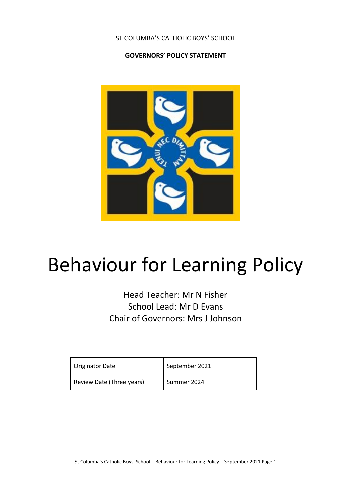ST COLUMBA'S CATHOLIC BOYS' SCHOOL

### **GOVERNORS' POLICY STATEMENT**



# Behaviour for Learning Policy

Head Teacher: Mr N Fisher School Lead: Mr D Evans Chair of Governors: Mrs J Johnson

| <b>Originator Date</b>    | September 2021 |
|---------------------------|----------------|
| Review Date (Three years) | Summer 2024    |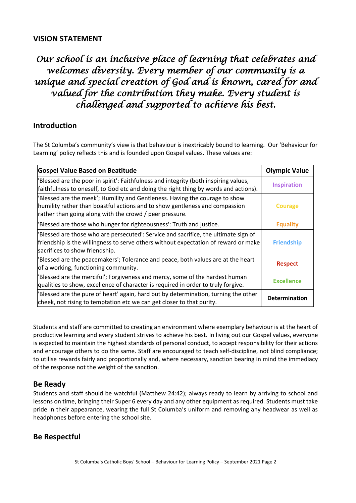### **VISION STATEMENT**

# *Our school is an inclusive place of learning that celebrates and welcomes diversity. Every member of our community is a unique and special creation of God and is known, cared for and valued for the contribution they make. Every student is challenged and supported to achieve his best.*

## **Introduction**

The St Columba's community's view is that behaviour is inextricably bound to learning. Our 'Behaviour for Learning' policy reflects this and is founded upon Gospel values. These values are:

| <b>Gospel Value Based on Beatitude</b>                                                                                                                                                                                | <b>Olympic Value</b> |
|-----------------------------------------------------------------------------------------------------------------------------------------------------------------------------------------------------------------------|----------------------|
| 'Blessed are the poor in spirit': Faithfulness and integrity (both inspiring values,<br>faithfulness to oneself, to God etc and doing the right thing by words and actions).                                          | <b>Inspiration</b>   |
| 'Blessed are the meek'; Humility and Gentleness. Having the courage to show<br>humility rather than boastful actions and to show gentleness and compassion<br>rather than going along with the crowd / peer pressure. | Courage              |
| 'Blessed are those who hunger for righteousness': Truth and justice.                                                                                                                                                  | <b>Equality</b>      |
| 'Blessed are those who are persecuted': Service and sacrifice, the ultimate sign of<br>friendship is the willingness to serve others without expectation of reward or make<br>sacrifices to show friendship.          | <b>Friendship</b>    |
| 'Blessed are the peacemakers'; Tolerance and peace, both values are at the heart<br>of a working, functioning community.                                                                                              | <b>Respect</b>       |
| 'Blessed are the merciful'; Forgiveness and mercy, some of the hardest human<br>qualities to show, excellence of character is required in order to truly forgive.                                                     | <b>Excellence</b>    |
| 'Blessed are the pure of heart' again, hard but by determination, turning the other<br>cheek, not rising to temptation etc we can get closer to that purity.                                                          | <b>Determination</b> |

Students and staff are committed to creating an environment where exemplary behaviour is at the heart of productive learning and every student strives to achieve his best. In living out our Gospel values, everyone is expected to maintain the highest standards of personal conduct, to accept responsibility for their actions and encourage others to do the same. Staff are encouraged to teach self-discipline, not blind compliance; to utilise rewards fairly and proportionally and, where necessary, sanction bearing in mind the immediacy of the response not the weight of the sanction.

## **Be Ready**

Students and staff should be watchful (Matthew 24:42); always ready to learn by arriving to school and lessons on time, bringing their Super 6 every day and any other equipment as required. Students must take pride in their appearance, wearing the full St Columba's uniform and removing any headwear as well as headphones before entering the school site.

# **Be Respectful**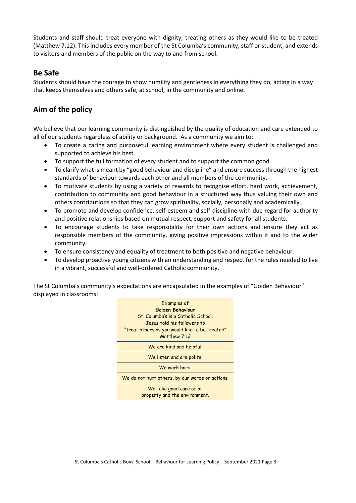Students and staff should treat everyone with dignity, treating others as they would like to be treated (Matthew 7:12). This includes every member of the St Columba's community, staff or student, and extends to visitors and members of the public on the way to and from school.

# **Be Safe**

Students should have the courage to show humility and gentleness in everything they do, acting in a way that keeps themselves and others safe, at school, in the community and online.

# **Aim of the policy**

We believe that our learning community is distinguished by the quality of education and care extended to all of our students regardless of ability or background. As a community we aim to:

- To create a caring and purposeful learning environment where every student is challenged and supported to achieve his best.
- To support the full formation of every student and to support the common good.
- To clarify what is meant by "good behaviour and discipline" and ensure success through the highest standards of behaviour towards each other and all members of the community.
- To motivate students by using a variety of rewards to recognise effort, hard work, achievement, contribution to community and good behaviour in a structured way thus valuing their own and others contributions so that they can grow spirituality, socially, personally and academically.
- To promote and develop confidence, self-esteem and self-discipline with due regard for authority and positive relationships based on mutual respect, support and safety for all students.
- To encourage students to take responsibility for their own actions and ensure they act as responsible members of the community, giving positive impressions within it and to the wider community.
- To ensure consistency and equality of treatment to both positive and negative behaviour.
- To develop proactive young citizens with an understanding and respect for the rules needed to live in a vibrant, successful and well-ordered Catholic community.

The St Columba's community's expectations are encapsulated in the examples of "Golden Behaviour" displayed in classrooms:

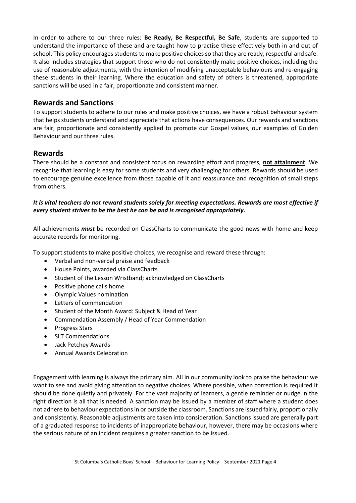In order to adhere to our three rules: **Be Ready, Be Respectful, Be Safe**, students are supported to understand the importance of these and are taught how to practise these effectively both in and out of school. This policy encourages students to make positive choices so that they are ready, respectful and safe. It also includes strategies that support those who do not consistently make positive choices, including the use of reasonable adjustments, with the intention of modifying unacceptable behaviours and re-engaging these students in their learning. Where the education and safety of others is threatened, appropriate sanctions will be used in a fair, proportionate and consistent manner.

### **Rewards and Sanctions**

To support students to adhere to our rules and make positive choices, we have a robust behaviour system that helps students understand and appreciate that actions have consequences. Our rewards and sanctions are fair, proportionate and consistently applied to promote our Gospel values, our examples of Golden Behaviour and our three rules.

#### **Rewards**

There should be a constant and consistent focus on rewarding effort and progress, **not attainment**. We recognise that learning is easy for some students and very challenging for others. Rewards should be used to encourage genuine excellence from those capable of it and reassurance and recognition of small steps from others.

#### *It is vital teachers do not reward students solely for meeting expectations. Rewards are most effective if every student strives to be the best he can be and is recognised appropriately.*

All achievements *must* be recorded on ClassCharts to communicate the good news with home and keep accurate records for monitoring.

To support students to make positive choices, we recognise and reward these through:

- Verbal and non-verbal praise and feedback
- House Points, awarded via ClassCharts
- Student of the Lesson Wristband; acknowledged on ClassCharts
- Positive phone calls home
- Olympic Values nomination
- Letters of commendation
- Student of the Month Award: Subject & Head of Year
- Commendation Assembly / Head of Year Commendation
- Progress Stars
- SLT Commendations
- Jack Petchey Awards
- Annual Awards Celebration

Engagement with learning is always the primary aim. All in our community look to praise the behaviour we want to see and avoid giving attention to negative choices. Where possible, when correction is required it should be done quietly and privately. For the vast majority of learners, a gentle reminder or nudge in the right direction is all that is needed. A sanction may be issued by a member of staff where a student does not adhere to behaviour expectations in or outside the classroom. Sanctions are issued fairly, proportionally and consistently. Reasonable adjustments are taken into consideration. Sanctions issued are generally part of a graduated response to incidents of inappropriate behaviour, however, there may be occasions where the serious nature of an incident requires a greater sanction to be issued.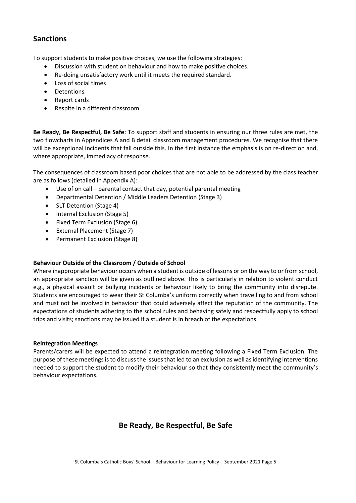# **Sanctions**

To support students to make positive choices, we use the following strategies:

- Discussion with student on behaviour and how to make positive choices.
- Re-doing unsatisfactory work until it meets the required standard.
- Loss of social times
- Detentions
- Report cards
- Respite in a different classroom

**Be Ready, Be Respectful, Be Safe**: To support staff and students in ensuring our three rules are met, the two flowcharts in Appendices A and B detail classroom management procedures. We recognise that there will be exceptional incidents that fall outside this. In the first instance the emphasis is on re-direction and, where appropriate, immediacy of response.

The consequences of classroom based poor choices that are not able to be addressed by the class teacher are as follows (detailed in Appendix A):

- Use of on call parental contact that day, potential parental meeting
- Departmental Detention / Middle Leaders Detention (Stage 3)
- SLT Detention (Stage 4)
- Internal Exclusion (Stage 5)
- Fixed Term Exclusion (Stage 6)
- External Placement (Stage 7)
- Permanent Exclusion (Stage 8)

#### **Behaviour Outside of the Classroom / Outside of School**

Where inappropriate behaviour occurs when a student is outside of lessons or on the way to or from school, an appropriate sanction will be given as outlined above. This is particularly in relation to violent conduct e.g., a physical assault or bullying incidents or behaviour likely to bring the community into disrepute. Students are encouraged to wear their St Columba's uniform correctly when travelling to and from school and must not be involved in behaviour that could adversely affect the reputation of the community. The expectations of students adhering to the school rules and behaving safely and respectfully apply to school trips and visits; sanctions may be issued if a student is in breach of the expectations.

#### **Reintegration Meetings**

Parents/carers will be expected to attend a reintegration meeting following a Fixed Term Exclusion. The purpose of these meetings is to discuss the issues that led to an exclusion as well as identifying interventions needed to support the student to modify their behaviour so that they consistently meet the community's behaviour expectations.

# **Be Ready, Be Respectful, Be Safe**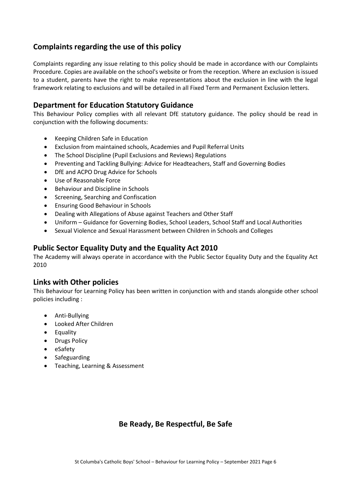# **Complaints regarding the use of this policy**

Complaints regarding any issue relating to this policy should be made in accordance with our Complaints Procedure. Copies are available on the school's website or from the reception. Where an exclusion is issued to a student, parents have the right to make representations about the exclusion in line with the legal framework relating to exclusions and will be detailed in all Fixed Term and Permanent Exclusion letters.

### **Department for Education Statutory Guidance**

This Behaviour Policy complies with all relevant DfE statutory guidance. The policy should be read in conjunction with the following documents:

- Keeping Children Safe in Education
- Exclusion from maintained schools, Academies and Pupil Referral Units
- The School Discipline (Pupil Exclusions and Reviews) Regulations
- Preventing and Tackling Bullying: Advice for Headteachers, Staff and Governing Bodies
- DfE and ACPO Drug Advice for Schools
- Use of Reasonable Force
- Behaviour and Discipline in Schools
- Screening, Searching and Confiscation
- Ensuring Good Behaviour in Schools
- Dealing with Allegations of Abuse against Teachers and Other Staff
- Uniform Guidance for Governing Bodies, School Leaders, School Staff and Local Authorities
- Sexual Violence and Sexual Harassment between Children in Schools and Colleges

### **Public Sector Equality Duty and the Equality Act 2010**

The Academy will always operate in accordance with the Public Sector Equality Duty and the Equality Act 2010

#### **Links with Other policies**

This Behaviour for Learning Policy has been written in conjunction with and stands alongside other school policies including :

- Anti-Bullying
- Looked After Children
- Equality
- Drugs Policy
- eSafety
- Safeguarding
- Teaching, Learning & Assessment

## **Be Ready, Be Respectful, Be Safe**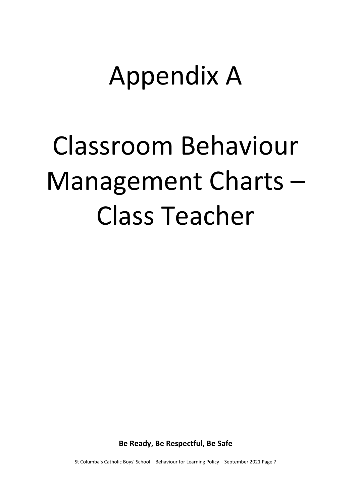# Appendix A

# Classroom Behaviour Management Charts – Class Teacher

**Be Ready, Be Respectful, Be Safe**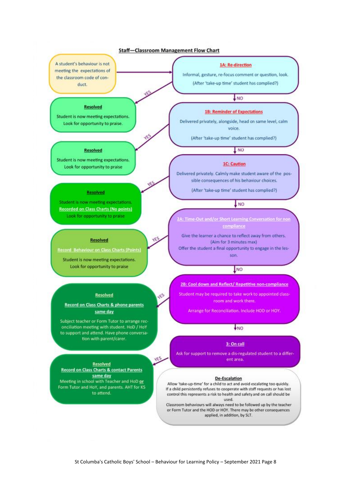#### **Staff-Classroom Management Flow Chart**

υĖ

YES

YES

A student's behaviour is not meeting the expectations of the classroom code of conduct.

#### 1A: Re-direction

Informal, gesture, re-focus comment or question, look. (After 'take-up time' student has complied?)

#### **Resolved**

Student is now meeting expectations. Look for opportunity to praise.

#### **Resolved**

Student is now meeting expectations. Look for opportunity to praise

#### **Resolved**

Student is now meeting expectations. **Recorded on Class Charts (No points)** Look for opportunity to praise

#### **Resolved**

**Record Behaviour on Class Charts (Points)** 

Student is now meeting expectations. Look for opportunity to praise

#### **Resolved**

#### Record on Class Charts & phone parents same day

Subject teacher or Form Tutor to arrange reconciliation meeting with student. HoD / HoY to support and attend. Have phone conversation with parent/carer.

**Resolved Record on Class Charts & contact Parents** same day<br>Meeting in school with Teacher and HoD or Form Tutor and HoY, and parents. AHT for KS to attend.

#### $\overline{\text{L}}$ <sub>NO</sub>

#### **1B: Reminder of Expectations**

Delivered privately, alongside, head on same level, calm voice.

(After 'take-up time' student has complied?)

#### I NO

#### **1C: Caution**

Delivered privately. Calmly make student aware of the possible consequences of his behaviour choices.

(After 'take-up time' student has complied?)

#### **LNO**

A: Time-Out and/or Short Learning Conversation for non compliance

Give the learner a chance to reflect away from others. (Aim for 3 minutes max)

Offer the student a final opportunity to engage in the lesson.

### **NO**

2B: Cool down and Reflect/ Repetitive non-compliance

Student may be required to take work to appointed classroom and work there.

Arrange for Reconciliation, Include HOD or HOY.

#### $\frac{1}{2}NQ$

#### 3: On call

Ask for support to remove a dis-regulated student to a different area.

#### De-Escalation

Allow 'take-up-time' for a child to act and avoid escalating too quickly. If a child persistently refuses to cooperate with staff requests or has lost control this represents a risk to health and safety and on call should be used.

Classroom behaviours will always need to be followed up by the teacher or Form Tutor and the HOD or HOY. There may be other consequences applied, in addition, by SLT.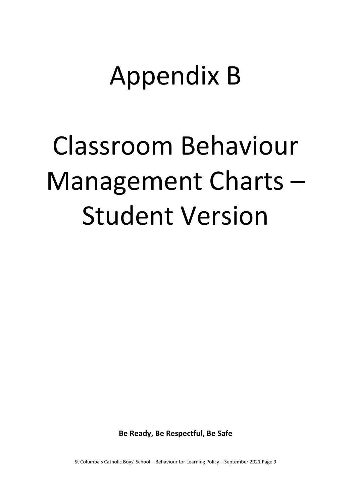# Appendix B

# Classroom Behaviour Management Charts – Student Version

**Be Ready, Be Respectful, Be Safe**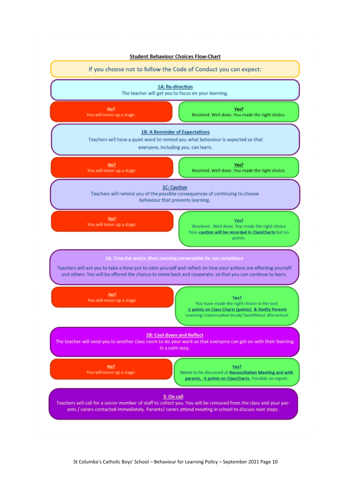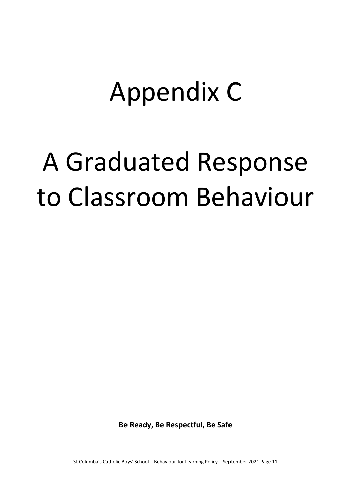# Appendix C

# A Graduated Response to Classroom Behaviour

**Be Ready, Be Respectful, Be Safe**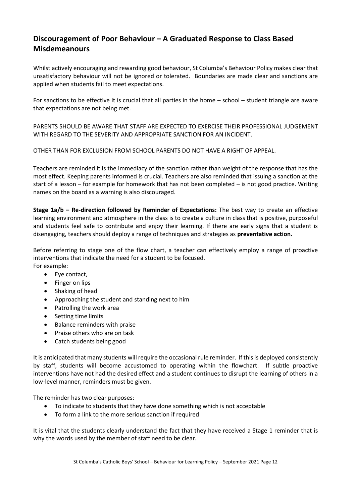# **Discouragement of Poor Behaviour – A Graduated Response to Class Based Misdemeanours**

Whilst actively encouraging and rewarding good behaviour, St Columba's Behaviour Policy makes clear that unsatisfactory behaviour will not be ignored or tolerated. Boundaries are made clear and sanctions are applied when students fail to meet expectations.

For sanctions to be effective it is crucial that all parties in the home – school – student triangle are aware that expectations are not being met.

PARENTS SHOULD BE AWARE THAT STAFF ARE EXPECTED TO EXERCISE THEIR PROFESSIONAL JUDGEMENT WITH REGARD TO THE SEVERITY AND APPROPRIATE SANCTION FOR AN INCIDENT.

OTHER THAN FOR EXCLUSION FROM SCHOOL PARENTS DO NOT HAVE A RIGHT OF APPEAL.

Teachers are reminded it is the immediacy of the sanction rather than weight of the response that has the most effect. Keeping parents informed is crucial. Teachers are also reminded that issuing a sanction at the start of a lesson – for example for homework that has not been completed – is not good practice. Writing names on the board as a warning is also discouraged.

**Stage 1a/b – Re-direction followed by Reminder of Expectations:** The best way to create an effective learning environment and atmosphere in the class is to create a culture in class that is positive, purposeful and students feel safe to contribute and enjoy their learning. If there are early signs that a student is disengaging, teachers should deploy a range of techniques and strategies as **preventative action.**

Before referring to stage one of the flow chart, a teacher can effectively employ a range of proactive interventions that indicate the need for a student to be focused. For example:

- Eye contact,
- Finger on lips
- Shaking of head
- Approaching the student and standing next to him
- Patrolling the work area
- Setting time limits
- Balance reminders with praise
- Praise others who are on task
- Catch students being good

It is anticipated that many students will require the occasional rule reminder. If this is deployed consistently by staff, students will become accustomed to operating within the flowchart. If subtle proactive interventions have not had the desired effect and a student continues to disrupt the learning of others in a low-level manner, reminders must be given.

The reminder has two clear purposes:

- To indicate to students that they have done something which is not acceptable
- To form a link to the more serious sanction if required

It is vital that the students clearly understand the fact that they have received a Stage 1 reminder that is why the words used by the member of staff need to be clear.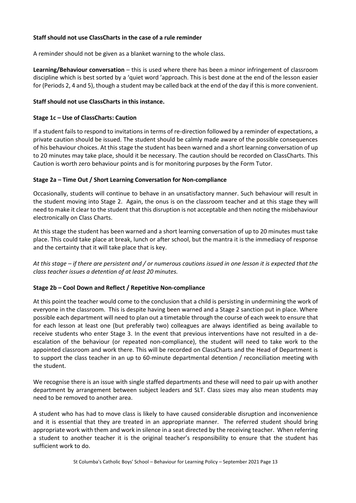#### **Staff should not use ClassCharts in the case of a rule reminder**

A reminder should not be given as a blanket warning to the whole class.

**Learning/Behaviour conversation** – this is used where there has been a minor infringement of classroom discipline which is best sorted by a 'quiet word 'approach. This is best done at the end of the lesson easier for (Periods 2, 4 and 5), though a student may be called back at the end of the day if this is more convenient.

#### **Staff should not use ClassCharts in this instance.**

#### **Stage 1c – Use of ClassCharts: Caution**

If a student fails to respond to invitations in terms of re-direction followed by a reminder of expectations, a private caution should be issued. The student should be calmly made aware of the possible consequences of his behaviour choices. At this stage the student has been warned and a short learning conversation of up to 20 minutes may take place, should it be necessary. The caution should be recorded on ClassCharts. This Caution is worth zero behaviour points and is for monitoring purposes by the Form Tutor.

#### **Stage 2a – Time Out / Short Learning Conversation for Non-compliance**

Occasionally, students will continue to behave in an unsatisfactory manner. Such behaviour will result in the student moving into Stage 2. Again, the onus is on the classroom teacher and at this stage they will need to make it clear to the student that this disruption is not acceptable and then noting the misbehaviour electronically on Class Charts.

At this stage the student has been warned and a short learning conversation of up to 20 minutes must take place. This could take place at break, lunch or after school, but the mantra it is the immediacy of response and the certainty that it will take place that is key.

*At this stage – if there are persistent and / or numerous cautions issued in one lesson it is expected that the class teacher issues a detention of at least 20 minutes.*

#### **Stage 2b – Cool Down and Reflect / Repetitive Non-compliance**

At this point the teacher would come to the conclusion that a child is persisting in undermining the work of everyone in the classroom. This is despite having been warned and a Stage 2 sanction put in place. Where possible each department will need to plan out a timetable through the course of each week to ensure that for each lesson at least one (but preferably two) colleagues are always identified as being available to receive students who enter Stage 3. In the event that previous interventions have not resulted in a deescalation of the behaviour (or repeated non-compliance), the student will need to take work to the appointed classroom and work there. This will be recorded on ClassCharts and the Head of Department is to support the class teacher in an up to 60-minute departmental detention / reconciliation meeting with the student.

We recognise there is an issue with single staffed departments and these will need to pair up with another department by arrangement between subject leaders and SLT. Class sizes may also mean students may need to be removed to another area.

A student who has had to move class is likely to have caused considerable disruption and inconvenience and it is essential that they are treated in an appropriate manner. The referred student should bring appropriate work with them and work in silence in a seat directed by the receiving teacher. When referring a student to another teacher it is the original teacher's responsibility to ensure that the student has sufficient work to do.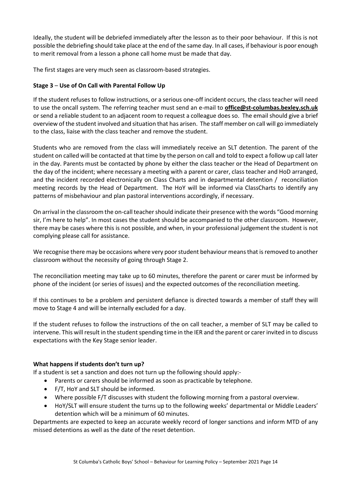Ideally, the student will be debriefed immediately after the lesson as to their poor behaviour. If this is not possible the debriefing should take place at the end of the same day. In all cases, if behaviour is poor enough to merit removal from a lesson a phone call home must be made that day.

The first stages are very much seen as classroom-based strategies.

#### **Stage 3** – **Use of On Call with Parental Follow Up**

If the student refuses to follow instructions, or a serious one-off incident occurs, the class teacher will need to use the oncall system. The referring teacher must send an e-mail to **[office@st-columbas.bexley.sch.uk](mailto:office@st-columbas.bexley.sch.uk)** or send a reliable student to an adjacent room to request a colleague does so. The email should give a brief overview of the student involved and situation that has arisen. The staff member on call will go immediately to the class, liaise with the class teacher and remove the student.

Students who are removed from the class will immediately receive an SLT detention. The parent of the student on called will be contacted at that time by the person on call and told to expect a follow up call later in the day. Parents must be contacted by phone by either the class teacher or the Head of Department on the day of the incident; where necessary a meeting with a parent or carer, class teacher and HoD arranged, and the incident recorded electronically on Class Charts and in departmental detention / reconciliation meeting records by the Head of Department. The HoY will be informed via ClassCharts to identify any patterns of misbehaviour and plan pastoral interventions accordingly, if necessary.

On arrival in the classroom the on-call teacher should indicate their presence with the words "Good morning sir, I'm here to help". In most cases the student should be accompanied to the other classroom. However, there may be cases where this is not possible, and when, in your professional judgement the student is not complying please call for assistance.

We recognise there may be occasions where very poor student behaviour means that is removed to another classroom without the necessity of going through Stage 2.

The reconciliation meeting may take up to 60 minutes, therefore the parent or carer must be informed by phone of the incident (or series of issues) and the expected outcomes of the reconciliation meeting.

If this continues to be a problem and persistent defiance is directed towards a member of staff they will move to Stage 4 and will be internally excluded for a day.

If the student refuses to follow the instructions of the on call teacher, a member of SLT may be called to intervene. This will result in the student spending time in the IER and the parent or carer invited in to discuss expectations with the Key Stage senior leader.

#### **What happens if students don't turn up?**

If a student is set a sanction and does not turn up the following should apply:-

- Parents or carers should be informed as soon as practicable by telephone.
- F/T, HoY and SLT should be informed.
- Where possible F/T discusses with student the following morning from a pastoral overview.
- HoY/SLT will ensure student the turns up to the following weeks' departmental or Middle Leaders' detention which will be a minimum of 60 minutes.

Departments are expected to keep an accurate weekly record of longer sanctions and inform MTD of any missed detentions as well as the date of the reset detention.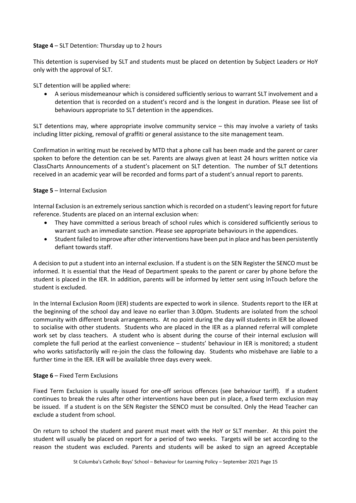#### **Stage 4** – SLT Detention: Thursday up to 2 hours

This detention is supervised by SLT and students must be placed on detention by Subject Leaders or HoY only with the approval of SLT.

SLT detention will be applied where:

• A serious misdemeanour which is considered sufficiently serious to warrant SLT involvement and a detention that is recorded on a student's record and is the longest in duration. Please see list of behaviours appropriate to SLT detention in the appendices.

SLT detentions may, where appropriate involve community service – this may involve a variety of tasks including litter picking, removal of graffiti or general assistance to the site management team.

Confirmation in writing must be received by MTD that a phone call has been made and the parent or carer spoken to before the detention can be set. Parents are always given at least 24 hours written notice via ClassCharts Announcements of a student's placement on SLT detention. The number of SLT detentions received in an academic year will be recorded and forms part of a student's annual report to parents.

#### **Stage 5** – Internal Exclusion

Internal Exclusion is an extremely serious sanction which is recorded on a student's leaving report for future reference. Students are placed on an internal exclusion when:

- They have committed a serious breach of school rules which is considered sufficiently serious to warrant such an immediate sanction. Please see appropriate behaviours in the appendices.
- Student failed to improve after other interventions have been put in place and has been persistently defiant towards staff.

A decision to put a student into an internal exclusion. If a student is on the SEN Register the SENCO must be informed. It is essential that the Head of Department speaks to the parent or carer by phone before the student is placed in the IER. In addition, parents will be informed by letter sent using InTouch before the student is excluded.

In the Internal Exclusion Room (IER) students are expected to work in silence. Students report to the IER at the beginning of the school day and leave no earlier than 3.00pm. Students are isolated from the school community with different break arrangements. At no point during the day will students in IER be allowed to socialise with other students. Students who are placed in the IER as a planned referral will complete work set by class teachers. A student who is absent during the course of their internal exclusion will complete the full period at the earliest convenience – students' behaviour in IER is monitored; a student who works satisfactorily will re-join the class the following day. Students who misbehave are liable to a further time in the IER. IER will be available three days every week.

#### **Stage 6** – Fixed Term Exclusions

Fixed Term Exclusion is usually issued for one-off serious offences (see behaviour tariff). If a student continues to break the rules after other interventions have been put in place, a fixed term exclusion may be issued. If a student is on the SEN Register the SENCO must be consulted. Only the Head Teacher can exclude a student from school.

On return to school the student and parent must meet with the HoY or SLT member. At this point the student will usually be placed on report for a period of two weeks. Targets will be set according to the reason the student was excluded. Parents and students will be asked to sign an agreed Acceptable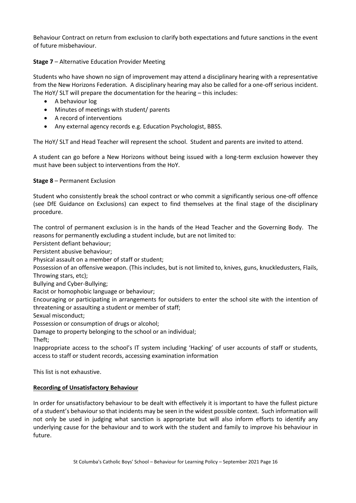Behaviour Contract on return from exclusion to clarify both expectations and future sanctions in the event of future misbehaviour.

#### **Stage 7** – Alternative Education Provider Meeting

Students who have shown no sign of improvement may attend a disciplinary hearing with a representative from the New Horizons Federation. A disciplinary hearing may also be called for a one-off serious incident. The HoY/ SLT will prepare the documentation for the hearing – this includes:

- A behaviour log
- Minutes of meetings with student/ parents
- A record of interventions
- Any external agency records e.g. Education Psychologist, BBSS.

The HoY/ SLT and Head Teacher will represent the school. Student and parents are invited to attend.

A student can go before a New Horizons without being issued with a long-term exclusion however they must have been subject to interventions from the HoY.

#### **Stage 8** – Permanent Exclusion

Student who consistently break the school contract or who commit a significantly serious one-off offence (see DfE Guidance on Exclusions) can expect to find themselves at the final stage of the disciplinary procedure.

The control of permanent exclusion is in the hands of the Head Teacher and the Governing Body. The reasons for permanently excluding a student include, but are not limited to:

Persistent defiant behaviour;

Persistent abusive behaviour;

Physical assault on a member of staff or student;

Possession of an offensive weapon. (This includes, but is not limited to, knives, guns, knuckledusters, Flails, Throwing stars, etc);

Bullying and Cyber-Bullying;

Racist or homophobic language or behaviour;

Encouraging or participating in arrangements for outsiders to enter the school site with the intention of threatening or assaulting a student or member of staff;

Sexual misconduct;

Possession or consumption of drugs or alcohol;

Damage to property belonging to the school or an individual;

Theft;

Inappropriate access to the school's IT system including 'Hacking' of user accounts of staff or students, access to staff or student records, accessing examination information

This list is not exhaustive.

#### **Recording of Unsatisfactory Behaviour**

In order for unsatisfactory behaviour to be dealt with effectively it is important to have the fullest picture of a student's behaviour so that incidents may be seen in the widest possible context. Such information will not only be used in judging what sanction is appropriate but will also inform efforts to identify any underlying cause for the behaviour and to work with the student and family to improve his behaviour in future.